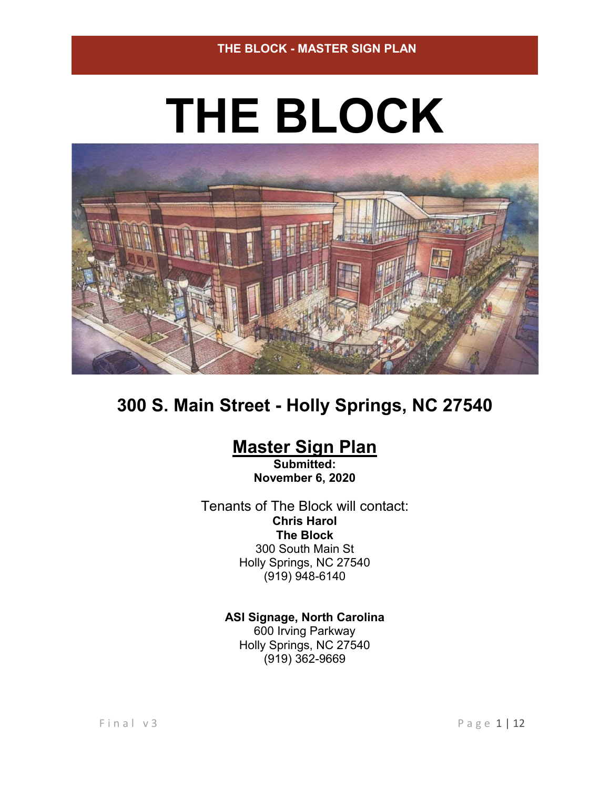# **THE BLOCK**



# **300 S. Main Street - Holly Springs, NC 27540**

# **Master Sign Plan**

**Submitted: November 6, 2020**

Tenants of The Block will contact: **Chris Harol The Block** 300 South Main St Holly Springs, NC 27540 (919) 948-6140

> **ASI Signage, North Carolina** 600 Irving Parkway Holly Springs, NC 27540 (919) 362-9669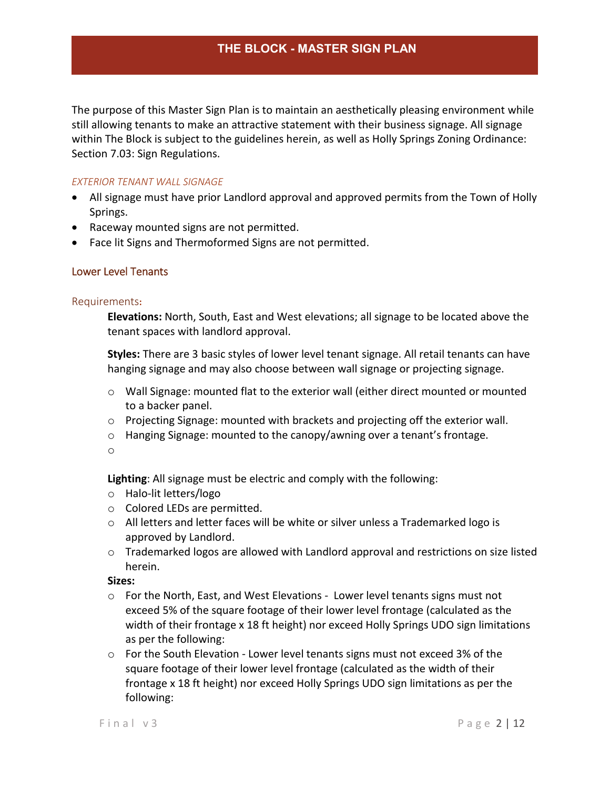The purpose of this Master Sign Plan is to maintain an aesthetically pleasing environment while still allowing tenants to make an attractive statement with their business signage. All signage within The Block is subject to the guidelines herein, as well as Holly Springs Zoning Ordinance: Section 7.03: Sign Regulations.

### *EXTERIOR TENANT WALL SIGNAGE*

- All signage must have prior Landlord approval and approved permits from the Town of Holly Springs.
- Raceway mounted signs are not permitted.
- Face lit Signs and Thermoformed Signs are not permitted.

## Lower Level Tenants

### Requirements**:**

**Elevations:** North, South, East and West elevations; all signage to be located above the tenant spaces with landlord approval.

**Styles:** There are 3 basic styles of lower level tenant signage. All retail tenants can have hanging signage and may also choose between wall signage or projecting signage.

- $\circ$  Wall Signage: mounted flat to the exterior wall (either direct mounted or mounted to a backer panel.
- o Projecting Signage: mounted with brackets and projecting off the exterior wall.
- $\circ$  Hanging Signage: mounted to the canopy/awning over a tenant's frontage.

o

**Lighting**: All signage must be electric and comply with the following:

- o Halo-lit letters/logo
- o Colored LEDs are permitted.
- o All letters and letter faces will be white or silver unless a Trademarked logo is approved by Landlord.
- $\circ$  Trademarked logos are allowed with Landlord approval and restrictions on size listed herein.

**Sizes:**

- $\circ$  For the North, East, and West Elevations Lower level tenants signs must not exceed 5% of the square footage of their lower level frontage (calculated as the width of their frontage x 18 ft height) nor exceed Holly Springs UDO sign limitations as per the following:
- o For the South Elevation Lower level tenants signs must not exceed 3% of the square footage of their lower level frontage (calculated as the width of their frontage x 18 ft height) nor exceed Holly Springs UDO sign limitations as per the following: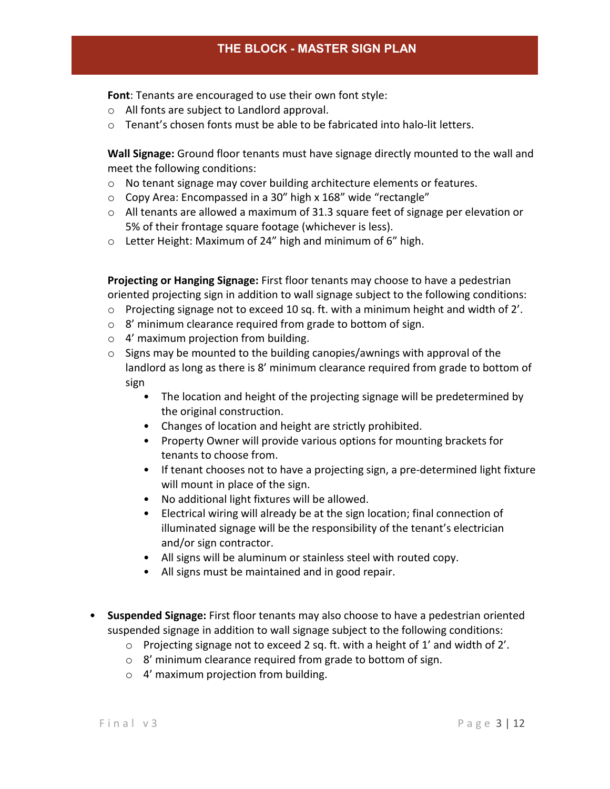**Font**: Tenants are encouraged to use their own font style:

- o All fonts are subject to Landlord approval.
- $\circ$  Tenant's chosen fonts must be able to be fabricated into halo-lit letters.

**Wall Signage:** Ground floor tenants must have signage directly mounted to the wall and meet the following conditions:

- o No tenant signage may cover building architecture elements or features.
- o Copy Area: Encompassed in a 30" high x 168" wide "rectangle"
- $\circ$  All tenants are allowed a maximum of 31.3 square feet of signage per elevation or 5% of their frontage square footage (whichever is less).
- o Letter Height: Maximum of 24" high and minimum of 6" high.

**Projecting or Hanging Signage:** First floor tenants may choose to have a pedestrian oriented projecting sign in addition to wall signage subject to the following conditions:

- $\circ$  Projecting signage not to exceed 10 sq. ft. with a minimum height and width of 2'.
- o 8' minimum clearance required from grade to bottom of sign.
- o 4' maximum projection from building.
- $\circ$  Signs may be mounted to the building canopies/awnings with approval of the landlord as long as there is 8' minimum clearance required from grade to bottom of sign
	- The location and height of the projecting signage will be predetermined by the original construction.
	- Changes of location and height are strictly prohibited.
	- Property Owner will provide various options for mounting brackets for tenants to choose from.
	- If tenant chooses not to have a projecting sign, a pre-determined light fixture will mount in place of the sign.
	- No additional light fixtures will be allowed.
	- Electrical wiring will already be at the sign location; final connection of illuminated signage will be the responsibility of the tenant's electrician and/or sign contractor.
	- All signs will be aluminum or stainless steel with routed copy.
	- All signs must be maintained and in good repair.
- **Suspended Signage:** First floor tenants may also choose to have a pedestrian oriented suspended signage in addition to wall signage subject to the following conditions:
	- $\circ$  Projecting signage not to exceed 2 sq. ft. with a height of 1' and width of 2'.
	- o 8' minimum clearance required from grade to bottom of sign.
	- o 4' maximum projection from building.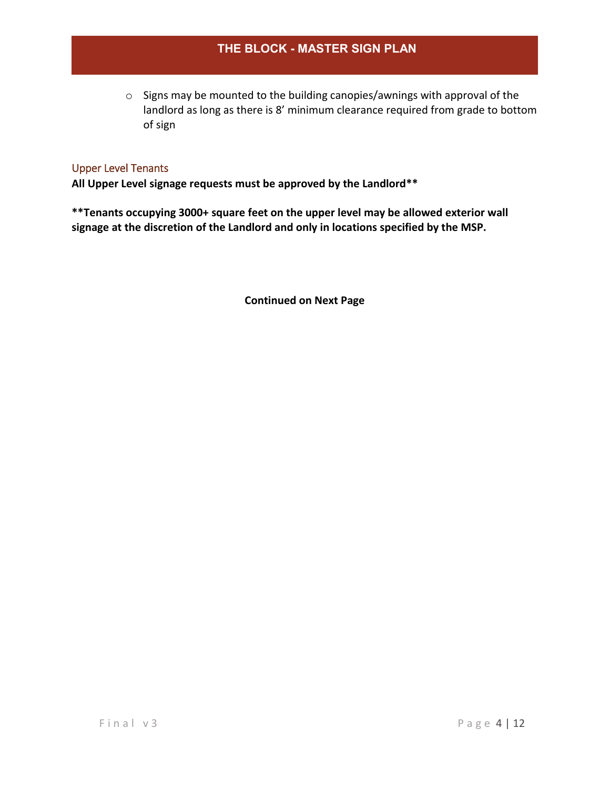o Signs may be mounted to the building canopies/awnings with approval of the landlord as long as there is 8' minimum clearance required from grade to bottom of sign

## Upper Level Tenants

**All Upper Level signage requests must be approved by the Landlord\*\***

**\*\*Tenants occupying 3000+ square feet on the upper level may be allowed exterior wall signage at the discretion of the Landlord and only in locations specified by the MSP.**

**Continued on Next Page**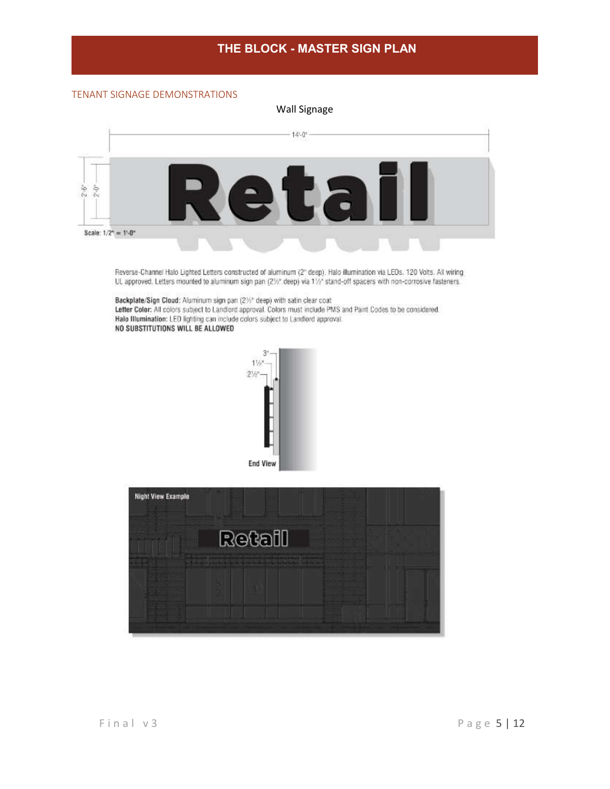#### TENANT SIGNAGE DEMONSTRATIONS



Reverse-Channel Halo Lighted Letters constructed of aluminum (2" deep). Halo illumination via LEDs. 120 Volts. All wiring UL approved. Letters mounted to aluminum sign pan (21/2" deep) via 11/2" stand-off spacers with non-corrosive fasteners.

Backplate/Sign Cloud: Aluminum sign pan (21% deep) with satin clear coat<br>Letter Color: All colors subject to Landlord approval. Colors must include PMS and Paint Codes to be considered. Halo Illumination: LED lighting can include colors subject to Landlord approval. NO SUBSTITUTIONS WILL BE ALLOWED



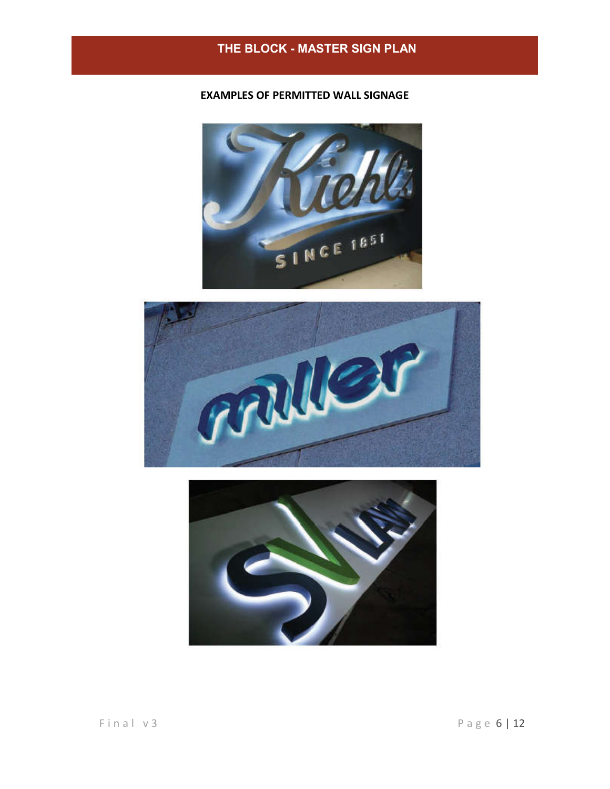## **EXAMPLES OF PERMITTED WALL SIGNAGE**





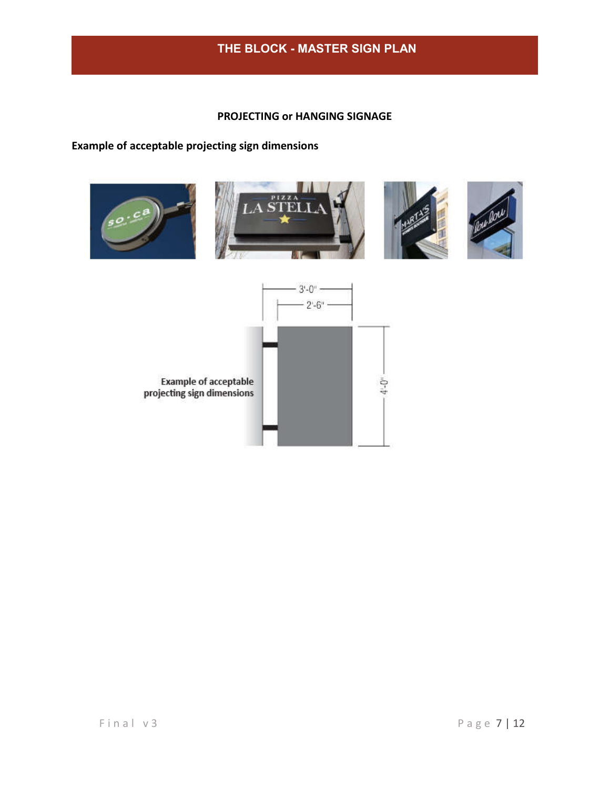## **PROJECTING or HANGING SIGNAGE**

## **Example of acceptable projecting sign dimensions**

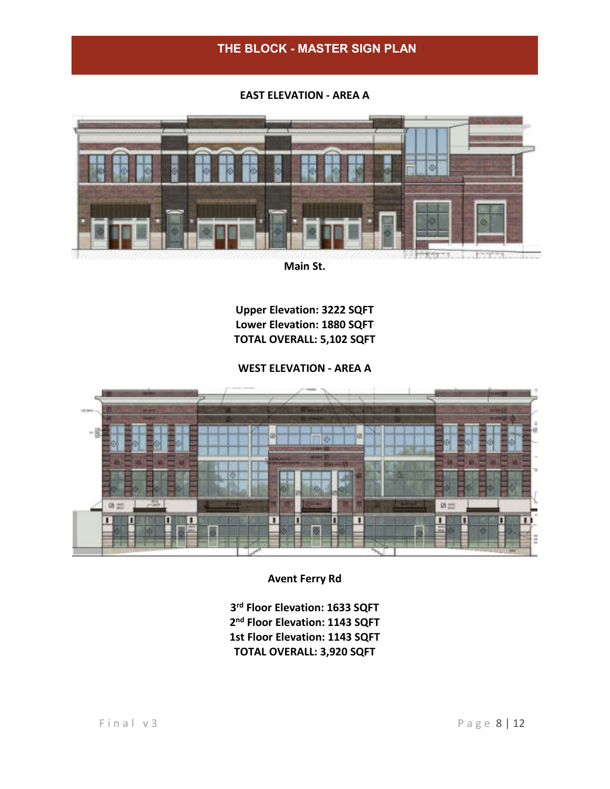**EAST ELEVATION - AREA A**



**Main St.**

**Upper Elevation: 3222 SQFT Lower Elevation: 1880 SQFT TOTAL OVERALL: 5,102 SQFT**

**WEST ELEVATION - AREA A**



**Avent Ferry Rd**

**3rd Floor Elevation: 1633 SQFT 2nd Floor Elevation: 1143 SQFT 1st Floor Elevation: 1143 SQFT TOTAL OVERALL: 3,920 SQFT**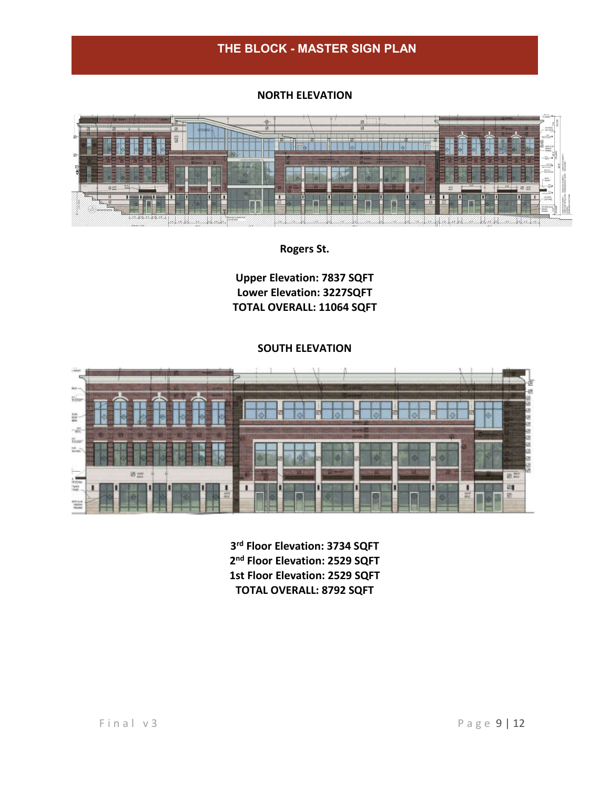## **NORTH ELEVATION**



**Rogers St.**

**Upper Elevation: 7837 SQFT Lower Elevation: 3227SQFT TOTAL OVERALL: 11064 SQFT**

#### **SOUTH ELEVATION**



**3rd Floor Elevation: 3734 SQFT 2nd Floor Elevation: 2529 SQFT 1st Floor Elevation: 2529 SQFT TOTAL OVERALL: 8792 SQFT**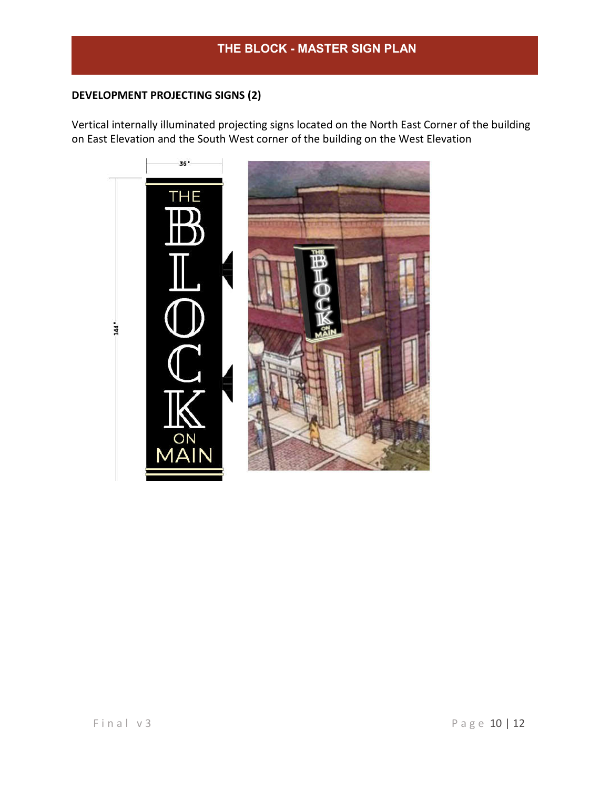## **DEVELOPMENT PROJECTING SIGNS (2)**

Vertical internally illuminated projecting signs located on the North East Corner of the building on East Elevation and the South West corner of the building on the West Elevation

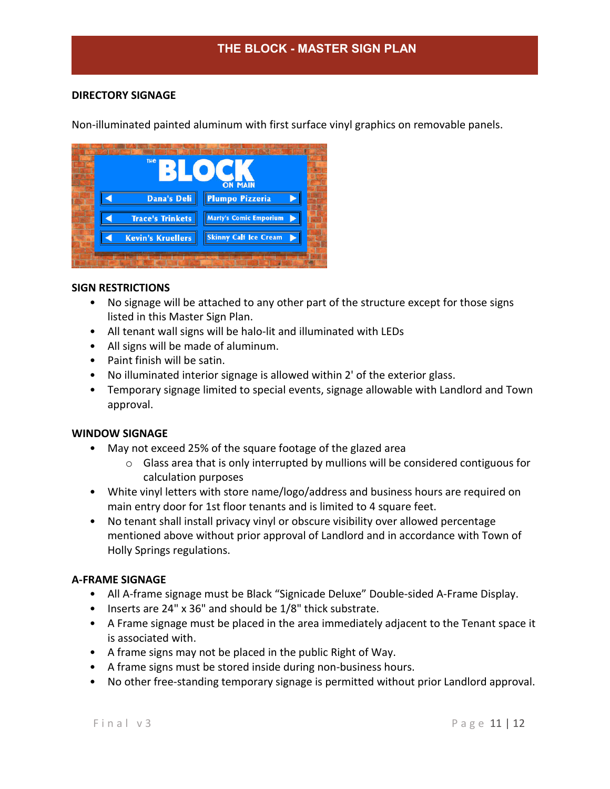## **DIRECTORY SIGNAGE**

Non-illuminated painted aluminum with first surface vinyl graphics on removable panels.



## **SIGN RESTRICTIONS**

- No signage will be attached to any other part of the structure except for those signs listed in this Master Sign Plan.
- All tenant wall signs will be halo-lit and illuminated with LEDs
- All signs will be made of aluminum.
- Paint finish will be satin.
- No illuminated interior signage is allowed within 2' of the exterior glass.
- Temporary signage limited to special events, signage allowable with Landlord and Town approval.

### **WINDOW SIGNAGE**

- May not exceed 25% of the square footage of the glazed area
	- o Glass area that is only interrupted by mullions will be considered contiguous for calculation purposes
- White vinyl letters with store name/logo/address and business hours are required on main entry door for 1st floor tenants and is limited to 4 square feet.
- No tenant shall install privacy vinyl or obscure visibility over allowed percentage mentioned above without prior approval of Landlord and in accordance with Town of Holly Springs regulations.

### **A-FRAME SIGNAGE**

- All A-frame signage must be Black "Signicade Deluxe" Double-sided A-Frame Display.
- Inserts are 24" x 36" and should be 1/8" thick substrate.
- A Frame signage must be placed in the area immediately adjacent to the Tenant space it is associated with.
- A frame signs may not be placed in the public Right of Way.
- A frame signs must be stored inside during non-business hours.
- No other free-standing temporary signage is permitted without prior Landlord approval.